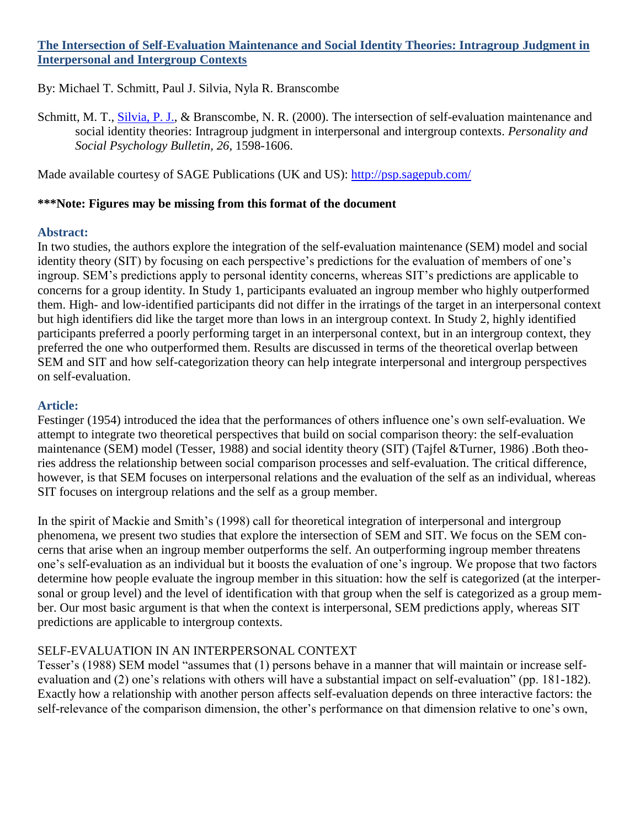# **The Intersection of Self-Evaluation Maintenance and Social Identity Theories: Intragroup Judgment in Interpersonal and Intergroup Contexts**

By: Michael T. Schmitt, Paul J. Silvia, Nyla R. Branscombe

Schmitt, M. T., [Silvia, P. J.,](http://libres.uncg.edu/ir/uncg/clist.aspx?id=402) & Branscombe, N. R. (2000). The intersection of self-evaluation maintenance and social identity theories: Intragroup judgment in interpersonal and intergroup contexts. *Personality and Social Psychology Bulletin, 26,* 1598-1606.

Made available courtesy of SAGE Publications (UK and US):<http://psp.sagepub.com/>

## **\*\*\*Note: Figures may be missing from this format of the document**

#### **Abstract:**

In two studies, the authors explore the integration of the self-evaluation maintenance (SEM) model and social identity theory (SIT) by focusing on each perspective's predictions for the evaluation of members of one's ingroup. SEM's predictions apply to personal identity concerns, whereas SIT's predictions are applicable to concerns for a group identity. In Study 1, participants evaluated an ingroup member who highly outperformed them. High- and low-identified participants did not differ in the irratings of the target in an interpersonal context but high identifiers did like the target more than lows in an intergroup context. In Study 2, highly identified participants preferred a poorly performing target in an interpersonal context, but in an intergroup context, they preferred the one who outperformed them. Results are discussed in terms of the theoretical overlap between SEM and SIT and how self-categorization theory can help integrate interpersonal and intergroup perspectives on self-evaluation.

## **Article:**

Festinger (1954) introduced the idea that the performances of others influence one's own self-evaluation. We attempt to integrate two theoretical perspectives that build on social comparison theory: the self-evaluation maintenance (SEM) model (Tesser, 1988) and social identity theory (SIT) (Tajfel &Turner, 1986) .Both theories address the relationship between social comparison processes and self-evaluation. The critical difference, however, is that SEM focuses on interpersonal relations and the evaluation of the self as an individual, whereas SIT focuses on intergroup relations and the self as a group member.

In the spirit of Mackie and Smith's (1998) call for theoretical integration of interpersonal and intergroup phenomena, we present two studies that explore the intersection of SEM and SIT. We focus on the SEM concerns that arise when an ingroup member outperforms the self. An outperforming ingroup member threatens one's self-evaluation as an individual but it boosts the evaluation of one's ingroup. We propose that two factors determine how people evaluate the ingroup member in this situation: how the self is categorized (at the interpersonal or group level) and the level of identification with that group when the self is categorized as a group member. Our most basic argument is that when the context is interpersonal, SEM predictions apply, whereas SIT predictions are applicable to intergroup contexts.

# SELF-EVALUATION IN AN INTERPERSONAL CONTEXT

Tesser's (1988) SEM model "assumes that (1) persons behave in a manner that will maintain or increase selfevaluation and (2) one's relations with others will have a substantial impact on self-evaluation" (pp. 181-182). Exactly how a relationship with another person affects self-evaluation depends on three interactive factors: the self-relevance of the comparison dimension, the other's performance on that dimension relative to one's own,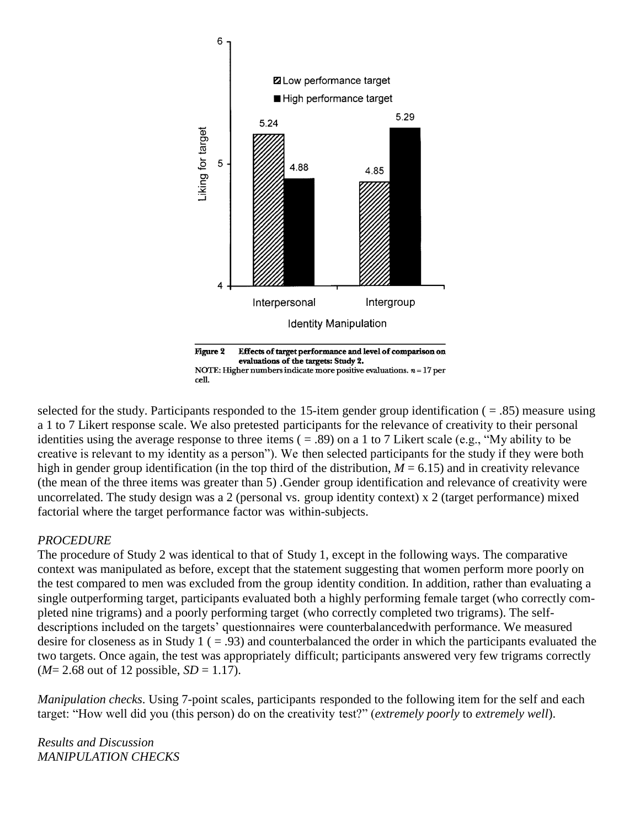

NOTE: Higher numbers indicate more positive evaluations.  $n = 17$  per cell.

selected for the study. Participants responded to the 15-item gender group identification ( $= .85$ ) measure using a 1 to 7 Likert response scale. We also pretested participants for the relevance of creativity to their personal identities using the average response to three items  $( = .89)$  on a 1 to 7 Likert scale (e.g., "My ability to be creative is relevant to my identity as a person"). We then selected participants for the study if they were both high in gender group identification (in the top third of the distribution,  $M = 6.15$ ) and in creativity relevance (the mean of the three items was greater than 5) .Gender group identification and relevance of creativity were uncorrelated. The study design was a 2 (personal vs. group identity context) x 2 (target performance) mixed factorial where the target performance factor was within-subjects.

# *PROCEDURE*

The procedure of Study 2 was identical to that of Study 1, except in the following ways. The comparative context was manipulated as before, except that the statement suggesting that women perform more poorly on the test compared to men was excluded from the group identity condition. In addition, rather than evaluating a single outperforming target, participants evaluated both a highly performing female target (who correctly completed nine trigrams) and a poorly performing target (who correctly completed two trigrams). The selfdescriptions included on the targets' questionnaires were counterbalancedwith performance. We measured desire for closeness as in Study 1  $( = .93)$  and counterbalanced the order in which the participants evaluated the two targets. Once again, the test was appropriately difficult; participants answered very few trigrams correctly  $(M= 2.68$  out of 12 possible,  $SD = 1.17$ ).

*Manipulation checks*. Using 7-point scales, participants responded to the following item for the self and each target: "How well did you (this person) do on the creativity test?" (*extremely poorly* to *extremely well*).

*Results and Discussion MANIPULATION CHECKS*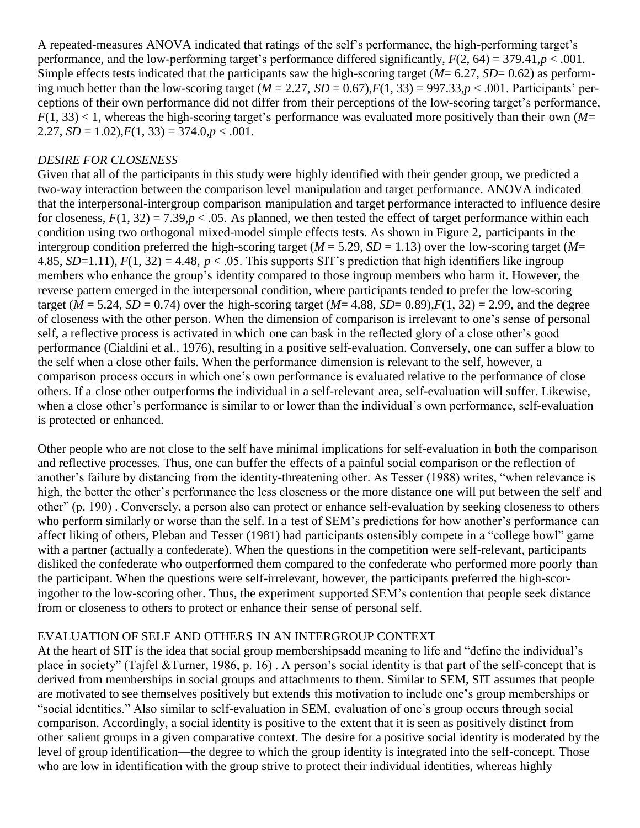A repeated-measures ANOVA indicated that ratings of the self's performance, the high-performing target's performance, and the low-performing target's performance differed significantly,  $F(2, 64) = 379.41, p < .001$ . Simple effects tests indicated that the participants saw the high-scoring target  $(M= 6.27, SD= 0.62)$  as performing much better than the low-scoring target  $(M = 2.27, SD = 0.67)$ , $F(1, 33) = 997.33$ , $p < .001$ . Participants' perceptions of their own performance did not differ from their perceptions of the low-scoring target's performance,  $F(1, 33)$  < 1, whereas the high-scoring target's performance was evaluated more positively than their own ( $M=$ 2.27,  $SD = 1.02$ , $F(1, 33) = 374.0$ , $p < .001$ .

## *DESIRE FOR CLOSENESS*

Given that all of the participants in this study were highly identified with their gender group, we predicted a two-way interaction between the comparison level manipulation and target performance. ANOVA indicated that the interpersonal-intergroup comparison manipulation and target performance interacted to influence desire for closeness,  $F(1, 32) = 7.39, p < .05$ . As planned, we then tested the effect of target performance within each condition using two orthogonal mixed-model simple effects tests. As shown in Figure 2, participants in the intergroup condition preferred the high-scoring target ( $M = 5.29$ ,  $SD = 1.13$ ) over the low-scoring target ( $M=$ 4.85, *SD*=1.11),  $F(1, 32) = 4.48$ ,  $p < .05$ . This supports SIT's prediction that high identifiers like ingroup members who enhance the group's identity compared to those ingroup members who harm it. However, the reverse pattern emerged in the interpersonal condition, where participants tended to prefer the low-scoring target ( $M = 5.24$ ,  $SD = 0.74$ ) over the high-scoring target ( $M = 4.88$ ,  $SD = 0.89$ ), $F(1, 32) = 2.99$ , and the degree of closeness with the other person. When the dimension of comparison is irrelevant to one's sense of personal self, a reflective process is activated in which one can bask in the reflected glory of a close other's good performance (Cialdini et al., 1976), resulting in a positive self-evaluation. Conversely, one can suffer a blow to the self when a close other fails. When the performance dimension is relevant to the self, however, a comparison process occurs in which one's own performance is evaluated relative to the performance of close others. If a close other outperforms the individual in a self-relevant area, self-evaluation will suffer. Likewise, when a close other's performance is similar to or lower than the individual's own performance, self-evaluation is protected or enhanced.

Other people who are not close to the self have minimal implications for self-evaluation in both the comparison and reflective processes. Thus, one can buffer the effects of a painful social comparison or the reflection of another's failure by distancing from the identity-threatening other. As Tesser (1988) writes, "when relevance is high, the better the other's performance the less closeness or the more distance one will put between the self and other" (p. 190). Conversely, a person also can protect or enhance self-evaluation by seeking closeness to others who perform similarly or worse than the self. In a test of SEM's predictions for how another's performance can affect liking of others, Pleban and Tesser (1981) had participants ostensibly compete in a "college bowl" game with a partner (actually a confederate). When the questions in the competition were self-relevant, participants disliked the confederate who outperformed them compared to the confederate who performed more poorly than the participant. When the questions were self-irrelevant, however, the participants preferred the high-scoringother to the low-scoring other. Thus, the experiment supported SEM's contention that people seek distance from or closeness to others to protect or enhance their sense of personal self.

# EVALUATION OF SELF AND OTHERS IN AN INTERGROUP CONTEXT

At the heart of SIT is the idea that social group membershipsadd meaning to life and "define the individual's place in society" (Tajfel &Turner, 1986, p. 16). A person's social identity is that part of the self-concept that is derived from memberships in social groups and attachments to them. Similar to SEM, SIT assumes that people are motivated to see themselves positively but extends this motivation to include one's group memberships or ―social identities.‖ Also similar to self-evaluation in SEM, evaluation of one's group occurs through social comparison. Accordingly, a social identity is positive to the extent that it is seen as positively distinct from other salient groups in a given comparative context. The desire for a positive social identity is moderated by the level of group identification—the degree to which the group identity is integrated into the self-concept. Those who are low in identification with the group strive to protect their individual identities, whereas highly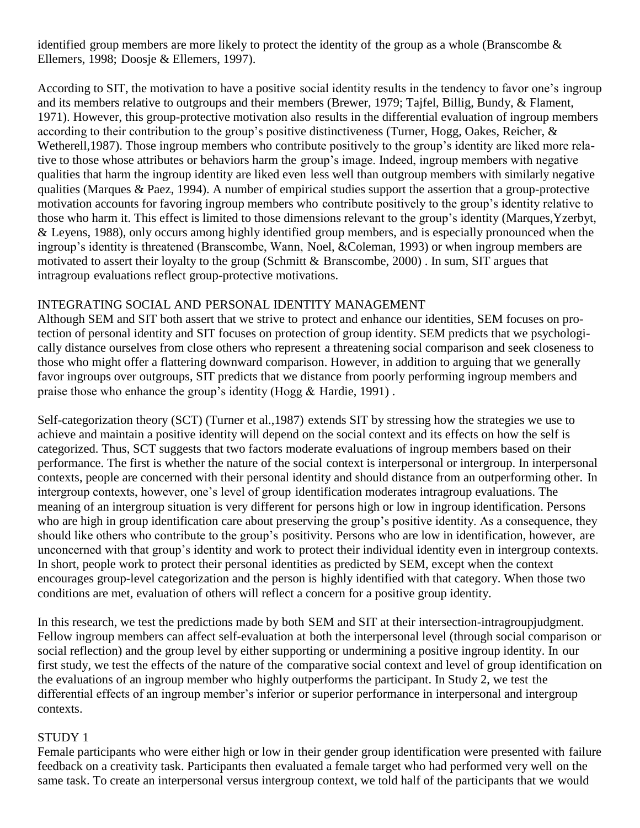identified group members are more likely to protect the identity of the group as a whole (Branscombe & Ellemers, 1998; Doosje & Ellemers, 1997).

According to SIT, the motivation to have a positive social identity results in the tendency to favor one's ingroup and its members relative to outgroups and their members (Brewer, 1979; Tajfel, Billig, Bundy, & Flament, 1971). However, this group-protective motivation also results in the differential evaluation of ingroup members according to their contribution to the group's positive distinctiveness (Turner, Hogg, Oakes, Reicher, & Wetherell,1987). Those ingroup members who contribute positively to the group's identity are liked more relative to those whose attributes or behaviors harm the group's image. Indeed, ingroup members with negative qualities that harm the ingroup identity are liked even less well than outgroup members with similarly negative qualities (Marques & Paez, 1994). A number of empirical studies support the assertion that a group-protective motivation accounts for favoring ingroup members who contribute positively to the group's identity relative to those who harm it. This effect is limited to those dimensions relevant to the group's identity (Marques,Yzerbyt, & Leyens, 1988), only occurs among highly identified group members, and is especially pronounced when the ingroup's identity is threatened (Branscombe, Wann, Noel, &Coleman, 1993) or when ingroup members are motivated to assert their loyalty to the group (Schmitt & Branscombe, 2000) . In sum, SIT argues that intragroup evaluations reflect group-protective motivations.

# INTEGRATING SOCIAL AND PERSONAL IDENTITY MANAGEMENT

Although SEM and SIT both assert that we strive to protect and enhance our identities, SEM focuses on protection of personal identity and SIT focuses on protection of group identity. SEM predicts that we psychologically distance ourselves from close others who represent a threatening social comparison and seek closeness to those who might offer a flattering downward comparison. However, in addition to arguing that we generally favor ingroups over outgroups, SIT predicts that we distance from poorly performing ingroup members and praise those who enhance the group's identity (Hogg & Hardie, 1991) .

Self-categorization theory (SCT) (Turner et al.,1987) extends SIT by stressing how the strategies we use to achieve and maintain a positive identity will depend on the social context and its effects on how the self is categorized. Thus, SCT suggests that two factors moderate evaluations of ingroup members based on their performance. The first is whether the nature of the social context is interpersonal or intergroup. In interpersonal contexts, people are concerned with their personal identity and should distance from an outperforming other. In intergroup contexts, however, one's level of group identification moderates intragroup evaluations. The meaning of an intergroup situation is very different for persons high or low in ingroup identification. Persons who are high in group identification care about preserving the group's positive identity. As a consequence, they should like others who contribute to the group's positivity. Persons who are low in identification, however, are unconcerned with that group's identity and work to protect their individual identity even in intergroup contexts. In short, people work to protect their personal identities as predicted by SEM, except when the context encourages group-level categorization and the person is highly identified with that category. When those two conditions are met, evaluation of others will reflect a concern for a positive group identity.

In this research, we test the predictions made by both SEM and SIT at their intersection-intragroupjudgment. Fellow ingroup members can affect self-evaluation at both the interpersonal level (through social comparison or social reflection) and the group level by either supporting or undermining a positive ingroup identity. In our first study, we test the effects of the nature of the comparative social context and level of group identification on the evaluations of an ingroup member who highly outperforms the participant. In Study 2, we test the differential effects of an ingroup member's inferior or superior performance in interpersonal and intergroup contexts.

#### STUDY 1

Female participants who were either high or low in their gender group identification were presented with failure feedback on a creativity task. Participants then evaluated a female target who had performed very well on the same task. To create an interpersonal versus intergroup context, we told half of the participants that we would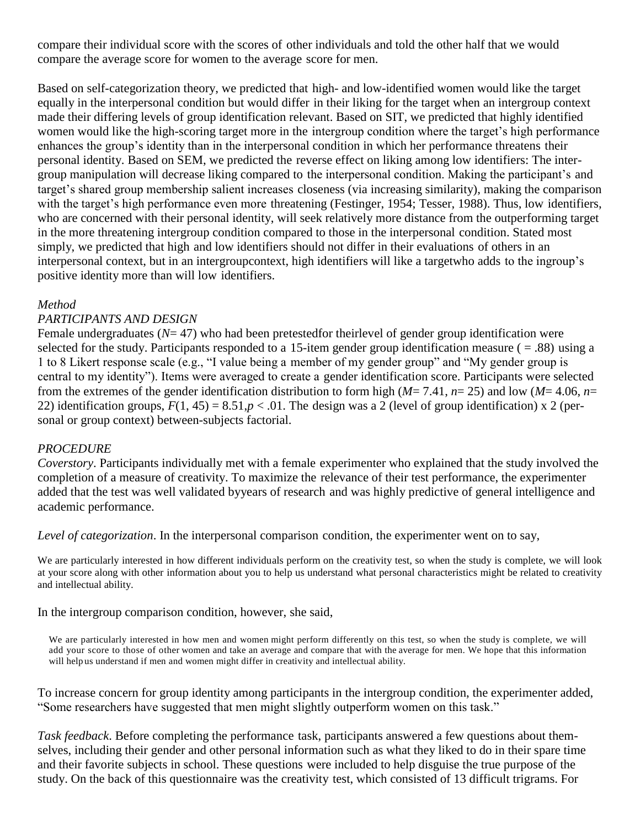compare their individual score with the scores of other individuals and told the other half that we would compare the average score for women to the average score for men.

Based on self-categorization theory, we predicted that high- and low-identified women would like the target equally in the interpersonal condition but would differ in their liking for the target when an intergroup context made their differing levels of group identification relevant. Based on SIT, we predicted that highly identified women would like the high-scoring target more in the intergroup condition where the target's high performance enhances the group's identity than in the interpersonal condition in which her performance threatens their personal identity. Based on SEM, we predicted the reverse effect on liking among low identifiers: The intergroup manipulation will decrease liking compared to the interpersonal condition. Making the participant's and target's shared group membership salient increases closeness (via increasing similarity), making the comparison with the target's high performance even more threatening (Festinger, 1954; Tesser, 1988). Thus, low identifiers, who are concerned with their personal identity, will seek relatively more distance from the outperforming target in the more threatening intergroup condition compared to those in the interpersonal condition. Stated most simply, we predicted that high and low identifiers should not differ in their evaluations of others in an interpersonal context, but in an intergroupcontext, high identifiers will like a targetwho adds to the ingroup's positive identity more than will low identifiers.

## *Method*

## *PARTICIPANTS AND DESIGN*

Female undergraduates (*N*= 47) who had been pretestedfor theirlevel of gender group identification were selected for the study. Participants responded to a 15-item gender group identification measure  $( = .88)$  using a 1 to 8 Likert response scale (e.g., "I value being a member of my gender group" and "My gender group is central to my identity"). Items were averaged to create a gender identification score. Participants were selected from the extremes of the gender identification distribution to form high (*M*= 7.41, *n*= 25) and low (*M*= 4.06, *n*= 22) identification groups,  $F(1, 45) = 8.51, p < .01$ . The design was a 2 (level of group identification) x 2 (personal or group context) between-subjects factorial.

#### *PROCEDURE*

*Coverstory*. Participants individually met with a female experimenter who explained that the study involved the completion of a measure of creativity. To maximize the relevance of their test performance, the experimenter added that the test was well validated byyears of research and was highly predictive of general intelligence and academic performance.

*Level of categorization*. In the interpersonal comparison condition, the experimenter went on to say,

We are particularly interested in how different individuals perform on the creativity test, so when the study is complete, we will look at your score along with other information about you to help us understand what personal characteristics might be related to creativity and intellectual ability.

In the intergroup comparison condition, however, she said,

We are particularly interested in how men and women might perform differently on this test, so when the study is complete, we will add your score to those of other women and take an average and compare that with the average for men. We hope that this information will help us understand if men and women might differ in creativity and intellectual ability.

To increase concern for group identity among participants in the intergroup condition, the experimenter added, "Some researchers have suggested that men might slightly outperform women on this task."

*Task feedback*. Before completing the performance task, participants answered a few questions about themselves, including their gender and other personal information such as what they liked to do in their spare time and their favorite subjects in school. These questions were included to help disguise the true purpose of the study. On the back of this questionnaire was the creativity test, which consisted of 13 difficult trigrams. For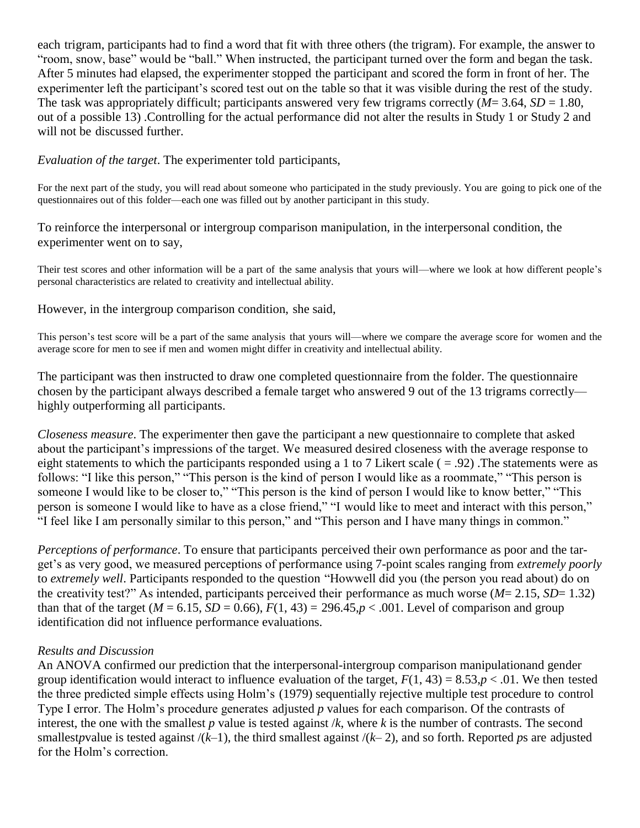each trigram, participants had to find a word that fit with three others (the trigram). For example, the answer to "room, snow, base" would be "ball." When instructed, the participant turned over the form and began the task. After 5 minutes had elapsed, the experimenter stopped the participant and scored the form in front of her. The experimenter left the participant's scored test out on the table so that it was visible during the rest of the study. The task was appropriately difficult; participants answered very few trigrams correctly (*M*= 3.64, *SD* = 1.80, out of a possible 13) .Controlling for the actual performance did not alter the results in Study 1 or Study 2 and will not be discussed further.

*Evaluation of the target*. The experimenter told participants,

For the next part of the study, you will read about someone who participated in the study previously. You are going to pick one of the questionnaires out of this folder—each one was filled out by another participant in this study.

To reinforce the interpersonal or intergroup comparison manipulation, in the interpersonal condition, the experimenter went on to say,

Their test scores and other information will be a part of the same analysis that yours will—where we look at how different people's personal characteristics are related to creativity and intellectual ability.

However, in the intergroup comparison condition, she said,

This person's test score will be a part of the same analysis that yours will—where we compare the average score for women and the average score for men to see if men and women might differ in creativity and intellectual ability.

The participant was then instructed to draw one completed questionnaire from the folder. The questionnaire chosen by the participant always described a female target who answered 9 out of the 13 trigrams correctly highly outperforming all participants.

*Closeness measure*. The experimenter then gave the participant a new questionnaire to complete that asked about the participant's impressions of the target. We measured desired closeness with the average response to eight statements to which the participants responded using a 1 to 7 Likert scale  $( = .92)$ . The statements were as follows: "I like this person," "This person is the kind of person I would like as a roommate," "This person is someone I would like to be closer to," "This person is the kind of person I would like to know better," "This person is someone I would like to have as a close friend," "I would like to meet and interact with this person," "I feel like I am personally similar to this person," and "This person and I have many things in common."

*Perceptions of performance*. To ensure that participants perceived their own performance as poor and the target's as very good, we measured perceptions of performance using 7-point scales ranging from *extremely poorly* to *extremely well*. Participants responded to the question "Howwell did you (the person you read about) do on the creativity test?" As intended, participants perceived their performance as much worse ( $M=2.15$ ,  $SD=1.32$ ) than that of the target ( $M = 6.15$ ,  $SD = 0.66$ ),  $F(1, 43) = 296.45$ ,  $p < .001$ . Level of comparison and group identification did not influence performance evaluations.

# *Results and Discussion*

An ANOVA confirmed our prediction that the interpersonal-intergroup comparison manipulationand gender group identification would interact to influence evaluation of the target,  $F(1, 43) = 8.53$ ,  $p < .01$ . We then tested the three predicted simple effects using Holm's (1979) sequentially rejective multiple test procedure to control Type I error. The Holm's procedure generates adjusted *p* values for each comparison. Of the contrasts of interest, the one with the smallest  $p$  value is tested against  $/k$ , where  $k$  is the number of contrasts. The second smallest*p*value is tested against  $/(k-1)$ , the third smallest against  $/(k-2)$ , and so forth. Reported *ps* are adjusted for the Holm's correction.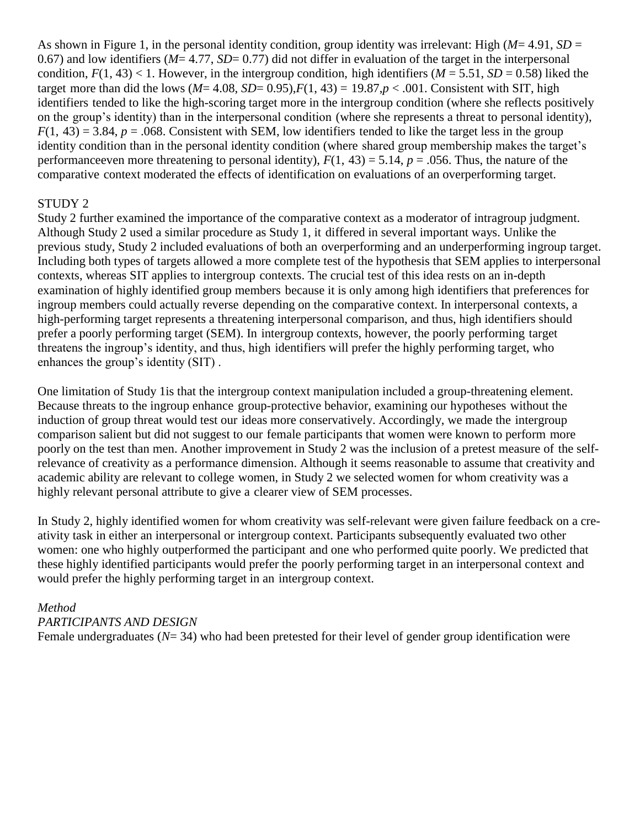As shown in Figure 1, in the personal identity condition, group identity was irrelevant: High (*M*= 4.91, *SD* = 0.67) and low identifiers  $(M=4.77, SD=0.77)$  did not differ in evaluation of the target in the interpersonal condition,  $F(1, 43) < 1$ . However, in the intergroup condition, high identifiers ( $M = 5.51$ ,  $SD = 0.58$ ) liked the target more than did the lows  $(M = 4.08, SD = 0.95)$ ,  $F(1, 43) = 19.87$ ,  $p < .001$ . Consistent with SIT, high identifiers tended to like the high-scoring target more in the intergroup condition (where she reflects positively on the group's identity) than in the interpersonal condition (where she represents a threat to personal identity),  $F(1, 43) = 3.84$ ,  $p = .068$ . Consistent with SEM, low identifiers tended to like the target less in the group identity condition than in the personal identity condition (where shared group membership makes the target's performance even more threatening to personal identity),  $F(1, 43) = 5.14$ ,  $p = .056$ . Thus, the nature of the comparative context moderated the effects of identification on evaluations of an overperforming target.

# STUDY 2

Study 2 further examined the importance of the comparative context as a moderator of intragroup judgment. Although Study 2 used a similar procedure as Study 1, it differed in several important ways. Unlike the previous study, Study 2 included evaluations of both an overperforming and an underperforming ingroup target. Including both types of targets allowed a more complete test of the hypothesis that SEM applies to interpersonal contexts, whereas SIT applies to intergroup contexts. The crucial test of this idea rests on an in-depth examination of highly identified group members because it is only among high identifiers that preferences for ingroup members could actually reverse depending on the comparative context. In interpersonal contexts, a high-performing target represents a threatening interpersonal comparison, and thus, high identifiers should prefer a poorly performing target (SEM). In intergroup contexts, however, the poorly performing target threatens the ingroup's identity, and thus, high identifiers will prefer the highly performing target, who enhances the group's identity (SIT) .

One limitation of Study 1is that the intergroup context manipulation included a group-threatening element. Because threats to the ingroup enhance group-protective behavior, examining our hypotheses without the induction of group threat would test our ideas more conservatively. Accordingly, we made the intergroup comparison salient but did not suggest to our female participants that women were known to perform more poorly on the test than men. Another improvement in Study 2 was the inclusion of a pretest measure of the selfrelevance of creativity as a performance dimension. Although it seems reasonable to assume that creativity and academic ability are relevant to college women, in Study 2 we selected women for whom creativity was a highly relevant personal attribute to give a clearer view of SEM processes.

In Study 2, highly identified women for whom creativity was self-relevant were given failure feedback on a creativity task in either an interpersonal or intergroup context. Participants subsequently evaluated two other women: one who highly outperformed the participant and one who performed quite poorly. We predicted that these highly identified participants would prefer the poorly performing target in an interpersonal context and would prefer the highly performing target in an intergroup context.

# *Method*

# *PARTICIPANTS AND DESIGN*

Female undergraduates (*N*= 34) who had been pretested for their level of gender group identification were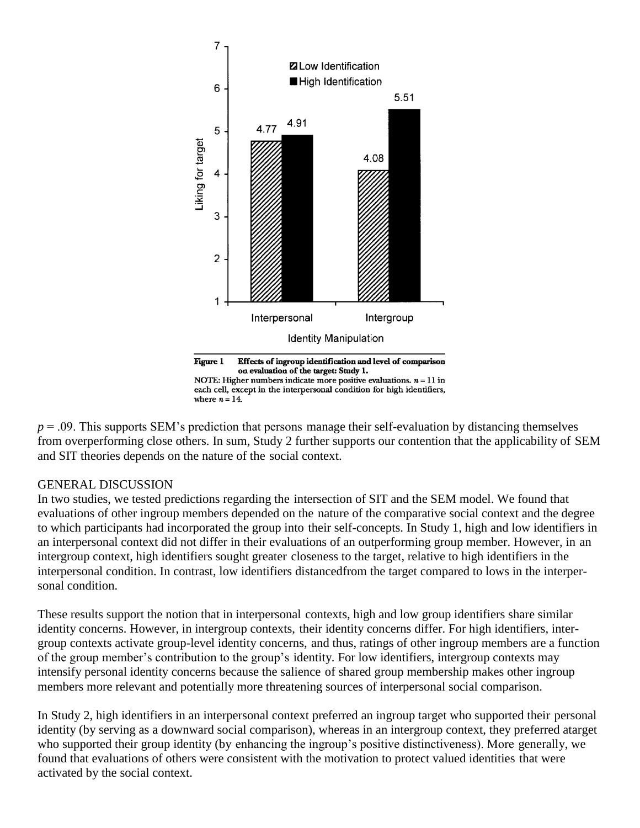

where  $n = 14$ .

 $p = 0.09$ . This supports SEM's prediction that persons manage their self-evaluation by distancing themselves from overperforming close others. In sum, Study 2 further supports our contention that the applicability of SEM and SIT theories depends on the nature of the social context.

#### GENERAL DISCUSSION

In two studies, we tested predictions regarding the intersection of SIT and the SEM model. We found that evaluations of other ingroup members depended on the nature of the comparative social context and the degree to which participants had incorporated the group into their self-concepts. In Study 1, high and low identifiers in an interpersonal context did not differ in their evaluations of an outperforming group member. However, in an intergroup context, high identifiers sought greater closeness to the target, relative to high identifiers in the interpersonal condition. In contrast, low identifiers distancedfrom the target compared to lows in the interpersonal condition.

These results support the notion that in interpersonal contexts, high and low group identifiers share similar identity concerns. However, in intergroup contexts, their identity concerns differ. For high identifiers, intergroup contexts activate group-level identity concerns, and thus, ratings of other ingroup members are a function of the group member's contribution to the group's identity. For low identifiers, intergroup contexts may intensify personal identity concerns because the salience of shared group membership makes other ingroup members more relevant and potentially more threatening sources of interpersonal social comparison.

In Study 2, high identifiers in an interpersonal context preferred an ingroup target who supported their personal identity (by serving as a downward social comparison), whereas in an intergroup context, they preferred atarget who supported their group identity (by enhancing the ingroup's positive distinctiveness). More generally, we found that evaluations of others were consistent with the motivation to protect valued identities that were activated by the social context.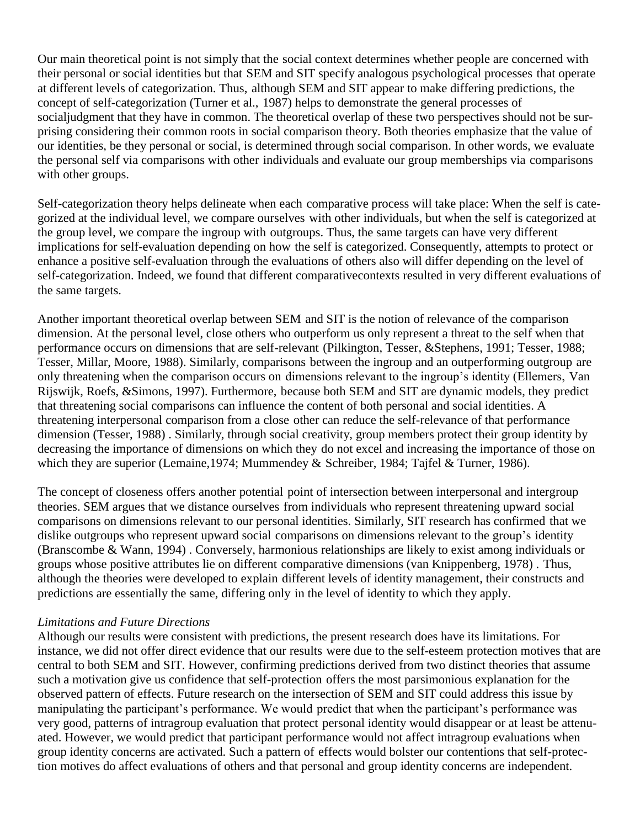Our main theoretical point is not simply that the social context determines whether people are concerned with their personal or social identities but that SEM and SIT specify analogous psychological processes that operate at different levels of categorization. Thus, although SEM and SIT appear to make differing predictions, the concept of self-categorization (Turner et al., 1987) helps to demonstrate the general processes of socialjudgment that they have in common. The theoretical overlap of these two perspectives should not be surprising considering their common roots in social comparison theory. Both theories emphasize that the value of our identities, be they personal or social, is determined through social comparison. In other words, we evaluate the personal self via comparisons with other individuals and evaluate our group memberships via comparisons with other groups.

Self-categorization theory helps delineate when each comparative process will take place: When the self is categorized at the individual level, we compare ourselves with other individuals, but when the self is categorized at the group level, we compare the ingroup with outgroups. Thus, the same targets can have very different implications for self-evaluation depending on how the self is categorized. Consequently, attempts to protect or enhance a positive self-evaluation through the evaluations of others also will differ depending on the level of self-categorization. Indeed, we found that different comparativecontexts resulted in very different evaluations of the same targets.

Another important theoretical overlap between SEM and SIT is the notion of relevance of the comparison dimension. At the personal level, close others who outperform us only represent a threat to the self when that performance occurs on dimensions that are self-relevant (Pilkington, Tesser, &Stephens, 1991; Tesser, 1988; Tesser, Millar, Moore, 1988). Similarly, comparisons between the ingroup and an outperforming outgroup are only threatening when the comparison occurs on dimensions relevant to the ingroup's identity (Ellemers, Van Rijswijk, Roefs, &Simons, 1997). Furthermore, because both SEM and SIT are dynamic models, they predict that threatening social comparisons can influence the content of both personal and social identities. A threatening interpersonal comparison from a close other can reduce the self-relevance of that performance dimension (Tesser, 1988) . Similarly, through social creativity, group members protect their group identity by decreasing the importance of dimensions on which they do not excel and increasing the importance of those on which they are superior (Lemaine, 1974; Mummendey & Schreiber, 1984; Tajfel & Turner, 1986).

The concept of closeness offers another potential point of intersection between interpersonal and intergroup theories. SEM argues that we distance ourselves from individuals who represent threatening upward social comparisons on dimensions relevant to our personal identities. Similarly, SIT research has confirmed that we dislike outgroups who represent upward social comparisons on dimensions relevant to the group's identity (Branscombe & Wann, 1994) . Conversely, harmonious relationships are likely to exist among individuals or groups whose positive attributes lie on different comparative dimensions (van Knippenberg, 1978) . Thus, although the theories were developed to explain different levels of identity management, their constructs and predictions are essentially the same, differing only in the level of identity to which they apply.

#### *Limitations and Future Directions*

Although our results were consistent with predictions, the present research does have its limitations. For instance, we did not offer direct evidence that our results were due to the self-esteem protection motives that are central to both SEM and SIT. However, confirming predictions derived from two distinct theories that assume such a motivation give us confidence that self-protection offers the most parsimonious explanation for the observed pattern of effects. Future research on the intersection of SEM and SIT could address this issue by manipulating the participant's performance. We would predict that when the participant's performance was very good, patterns of intragroup evaluation that protect personal identity would disappear or at least be attenuated. However, we would predict that participant performance would not affect intragroup evaluations when group identity concerns are activated. Such a pattern of effects would bolster our contentions that self-protection motives do affect evaluations of others and that personal and group identity concerns are independent.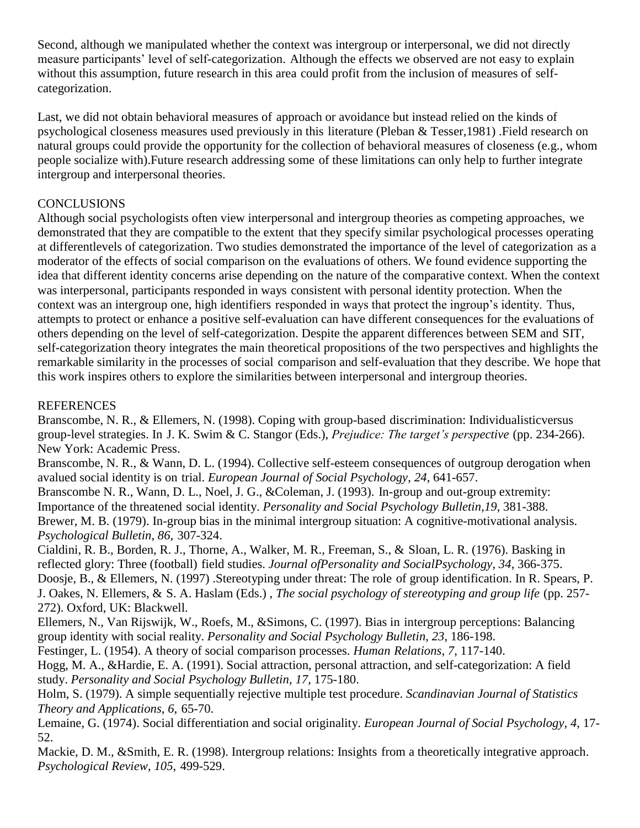Second, although we manipulated whether the context was intergroup or interpersonal, we did not directly measure participants' level of self-categorization. Although the effects we observed are not easy to explain without this assumption, future research in this area could profit from the inclusion of measures of selfcategorization.

Last, we did not obtain behavioral measures of approach or avoidance but instead relied on the kinds of psychological closeness measures used previously in this literature (Pleban & Tesser,1981) .Field research on natural groups could provide the opportunity for the collection of behavioral measures of closeness (e.g., whom people socialize with).Future research addressing some of these limitations can only help to further integrate intergroup and interpersonal theories.

# **CONCLUSIONS**

Although social psychologists often view interpersonal and intergroup theories as competing approaches, we demonstrated that they are compatible to the extent that they specify similar psychological processes operating at differentlevels of categorization. Two studies demonstrated the importance of the level of categorization as a moderator of the effects of social comparison on the evaluations of others. We found evidence supporting the idea that different identity concerns arise depending on the nature of the comparative context. When the context was interpersonal, participants responded in ways consistent with personal identity protection. When the context was an intergroup one, high identifiers responded in ways that protect the ingroup's identity. Thus, attempts to protect or enhance a positive self-evaluation can have different consequences for the evaluations of others depending on the level of self-categorization. Despite the apparent differences between SEM and SIT, self-categorization theory integrates the main theoretical propositions of the two perspectives and highlights the remarkable similarity in the processes of social comparison and self-evaluation that they describe. We hope that this work inspires others to explore the similarities between interpersonal and intergroup theories.

# REFERENCES

Branscombe, N. R., & Ellemers, N. (1998). Coping with group-based discrimination: Individualisticversus group-level strategies. In J. K. Swim & C. Stangor (Eds.), *Prejudice: The target's perspective* (pp. 234-266). New York: Academic Press.

Branscombe, N. R., & Wann, D. L. (1994). Collective self-esteem consequences of outgroup derogation when avalued social identity is on trial. *European Journal of Social Psychology*, *24*, 641-657.

Branscombe N. R., Wann, D. L., Noel, J. G., &Coleman, J. (1993). In-group and out-group extremity: Importance of the threatened social identity. *Personality and Social Psychology Bulletin*,*19*, 381-388. Brewer, M. B. (1979). In-group bias in the minimal intergroup situation: A cognitive-motivational analysis. *Psychological Bulletin*, *86*, 307-324.

Cialdini, R. B., Borden, R. J., Thorne, A., Walker, M. R., Freeman, S., & Sloan, L. R. (1976). Basking in reflected glory: Three (football) field studies. *Journal ofPersonality and SocialPsychology*, *34*, 366-375. Doosje, B., & Ellemers, N. (1997) .Stereotyping under threat: The role of group identification. In R. Spears, P. J. Oakes, N. Ellemers, & S. A. Haslam (Eds.) , *The social psychology of stereotyping and group life* (pp. 257-

272). Oxford, UK: Blackwell.

Ellemers, N., Van Rijswijk, W., Roefs, M., &Simons, C. (1997). Bias in intergroup perceptions: Balancing group identity with social reality. *Personality and Social Psychology Bulletin*, *23*, 186-198.

Festinger, L. (1954). A theory of social comparison processes. *Human Relations*, *7*, 117-140.

Hogg, M. A., &Hardie, E. A. (1991). Social attraction, personal attraction, and self-categorization: A field study. *Personality and Social Psychology Bulletin*, *17*, 175-180.

Holm, S. (1979). A simple sequentially rejective multiple test procedure. *Scandinavian Journal of Statistics Theory and Applications*, *6*, 65-70.

Lemaine, G. (1974). Social differentiation and social originality. *European Journal of Social Psychology*, *4*, 17- 52.

Mackie, D. M., &Smith, E. R. (1998). Intergroup relations: Insights from a theoretically integrative approach. *Psychological Review*, *105*, 499-529.